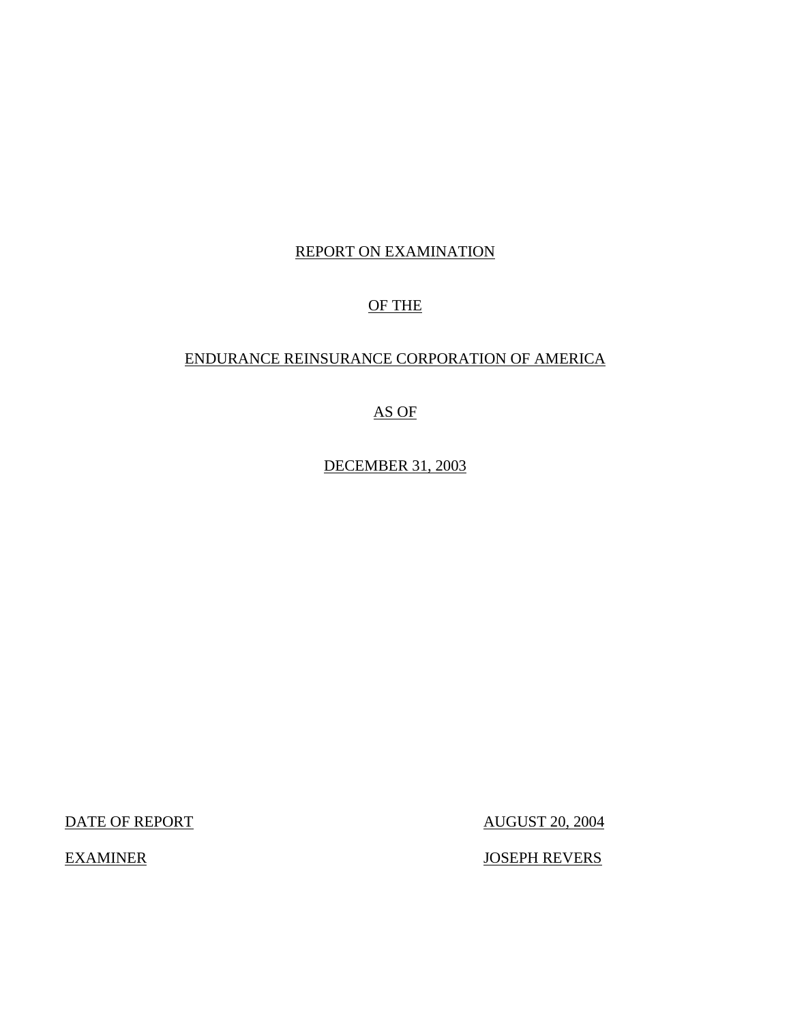# REPORT ON EXAMINATION

# OF THE

# ENDURANCE REINSURANCE CORPORATION OF AMERICA

# AS OF

DECEMBER 31, 2003

DATE OF REPORT AUGUST 20, 2004

EXAMINER JOSEPH REVERS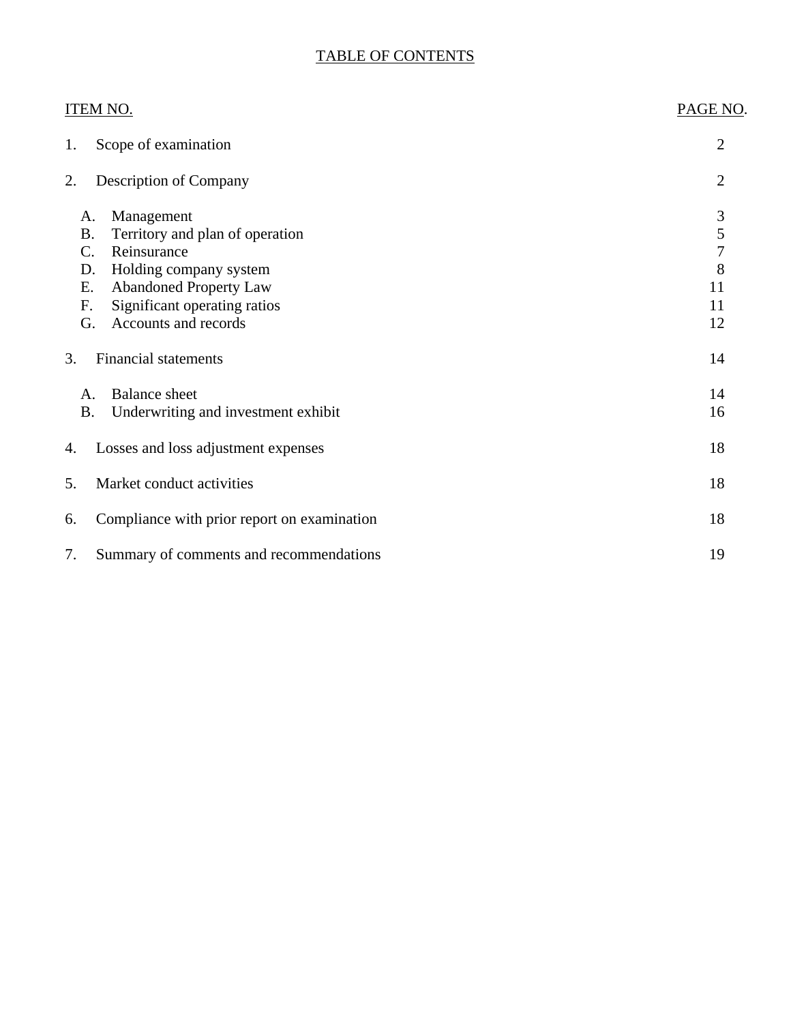# TABLE OF CONTENTS

| <b>ITEM NO.</b>                                                                                                                                                                                                                  | PAGE NO.                           |
|----------------------------------------------------------------------------------------------------------------------------------------------------------------------------------------------------------------------------------|------------------------------------|
| Scope of examination<br>1.                                                                                                                                                                                                       | $\overline{2}$                     |
| <b>Description of Company</b><br>2.                                                                                                                                                                                              | $\overline{2}$                     |
| Management<br>A.<br>Territory and plan of operation<br><b>B.</b><br>Reinsurance<br>C.<br>Holding company system<br>D.<br>Ε.<br><b>Abandoned Property Law</b><br>Significant operating ratios<br>F.<br>G.<br>Accounts and records | 3<br>5<br>7<br>8<br>11<br>11<br>12 |
| <b>Financial statements</b><br>3.                                                                                                                                                                                                | 14                                 |
| <b>Balance</b> sheet<br>А.<br>Underwriting and investment exhibit<br><b>B.</b>                                                                                                                                                   | 14<br>16                           |
| Losses and loss adjustment expenses<br>4.                                                                                                                                                                                        | 18                                 |
| Market conduct activities<br>5.                                                                                                                                                                                                  | 18                                 |
| Compliance with prior report on examination<br>6.                                                                                                                                                                                | 18                                 |
| 7.<br>Summary of comments and recommendations                                                                                                                                                                                    | 19                                 |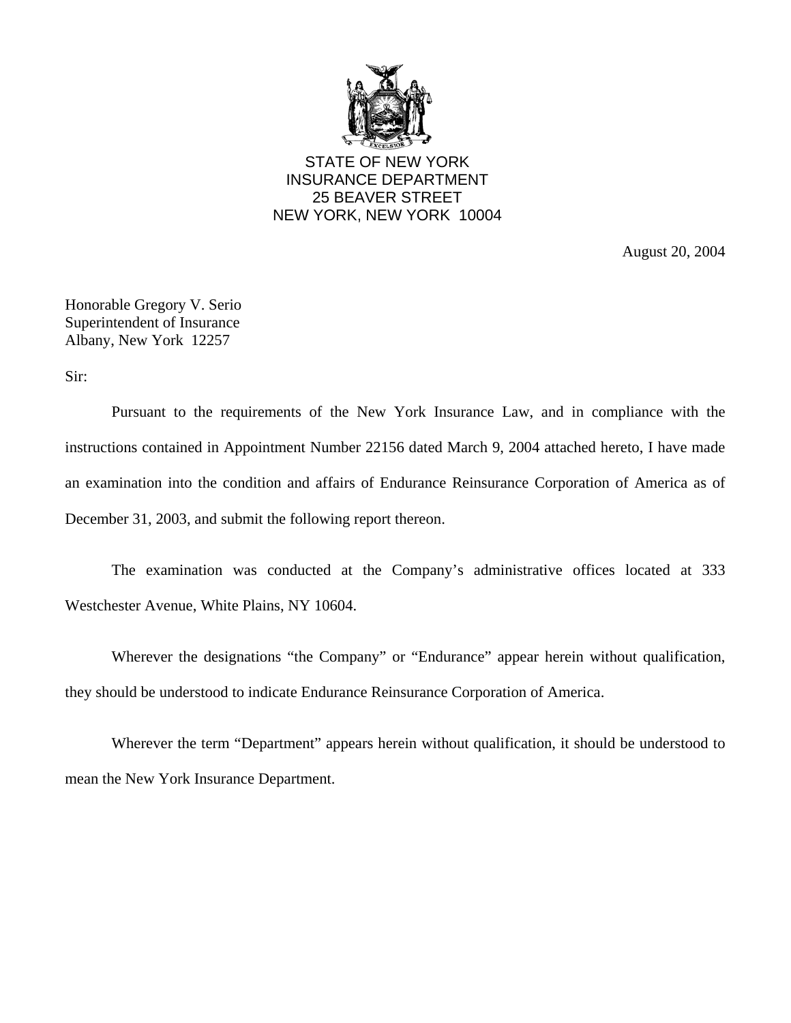

STATE OF NEW YORK INSURANCE DEPARTMENT 25 BEAVER STREET NEW YORK, NEW YORK 10004

August 20, 2004

Honorable Gregory V. Serio Superintendent of Insurance Albany, New York 12257

Sir:

Pursuant to the requirements of the New York Insurance Law, and in compliance with the instructions contained in Appointment Number 22156 dated March 9, 2004 attached hereto, I have made an examination into the condition and affairs of Endurance Reinsurance Corporation of America as of December 31, 2003, and submit the following report thereon.

The examination was conducted at the Company's administrative offices located at 333 Westchester Avenue, White Plains, NY 10604.

Wherever the designations "the Company" or "Endurance" appear herein without qualification, they should be understood to indicate Endurance Reinsurance Corporation of America.

Wherever the term "Department" appears herein without qualification, it should be understood to mean the New York Insurance Department.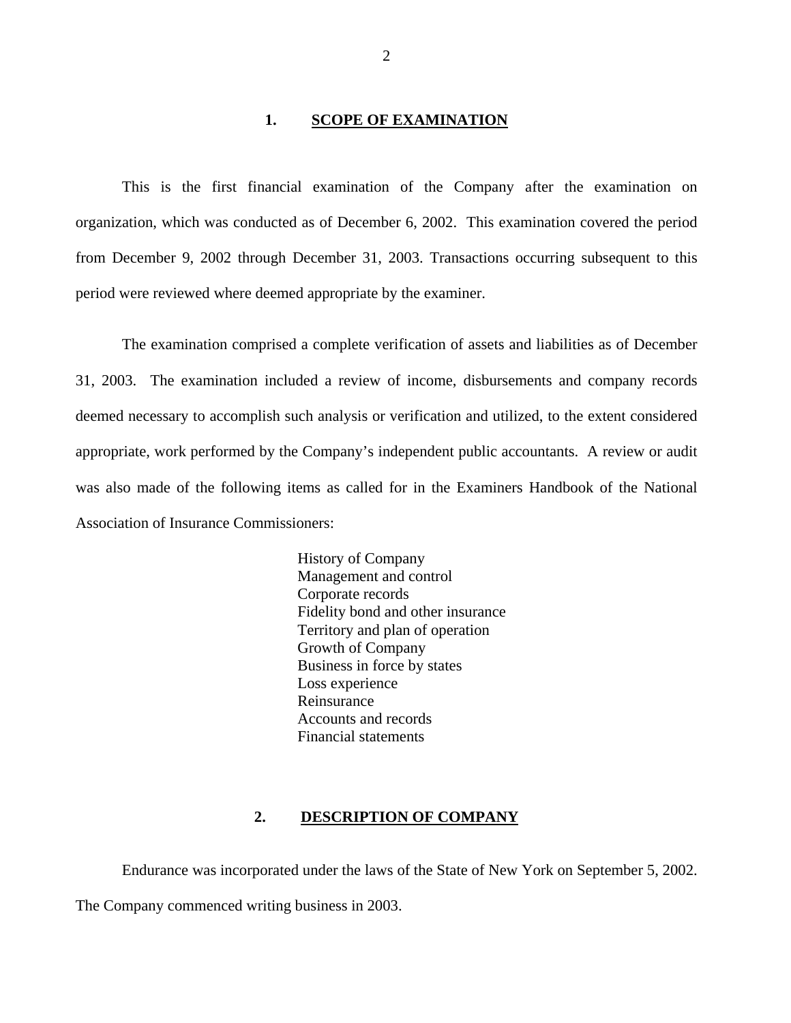#### **1. SCOPE OF EXAMINATION**

<span id="page-3-0"></span>This is the first financial examination of the Company after the examination on organization, which was conducted as of December 6, 2002. This examination covered the period from December 9, 2002 through December 31, 2003. Transactions occurring subsequent to this period were reviewed where deemed appropriate by the examiner.

The examination comprised a complete verification of assets and liabilities as of December 31, 2003. The examination included a review of income, disbursements and company records deemed necessary to accomplish such analysis or verification and utilized, to the extent considered appropriate, work performed by the Company's independent public accountants. A review or audit was also made of the following items as called for in the Examiners Handbook of the National Association of Insurance Commissioners:

> History of Company Management and control Corporate records Fidelity bond and other insurance Territory and plan of operation Growth of Company Business in force by states Loss experience Reinsurance Accounts and records Financial statements

## **2. DESCRIPTION OF COMPANY**

Endurance was incorporated under the laws of the State of New York on September 5, 2002. The Company commenced writing business in 2003.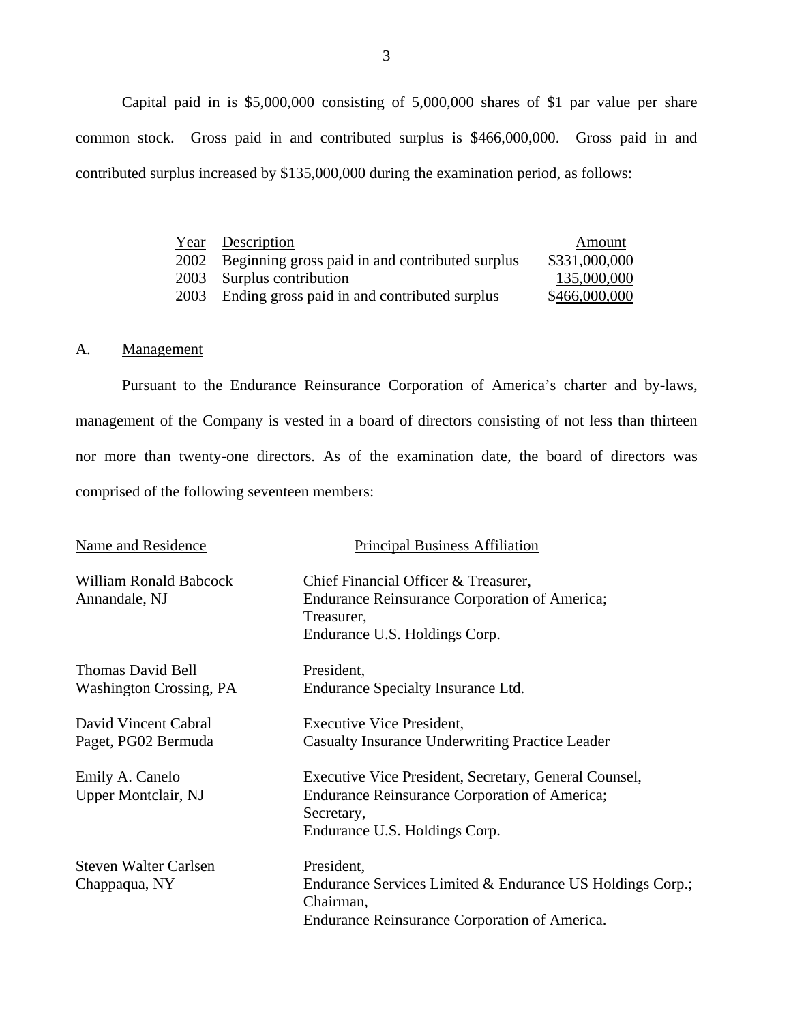Capital paid in is \$5,000,000 consisting of 5,000,000 shares of \$1 par value per share common stock. Gross paid in and contributed surplus is \$466,000,000. Gross paid in and contributed surplus increased by \$135,000,000 during the examination period, as follows:

|      | <u>Year</u> Description                         | Amount        |
|------|-------------------------------------------------|---------------|
| 2002 | Beginning gross paid in and contributed surplus | \$331,000,000 |
|      | 2003 Surplus contribution                       | 135,000,000   |
| 2003 | Ending gross paid in and contributed surplus    | \$466,000,000 |

## A. Management

Pursuant to the Endurance Reinsurance Corporation of America's charter and by-laws, management of the Company is vested in a board of directors consisting of not less than thirteen nor more than twenty-one directors. As of the examination date, the board of directors was comprised of the following seventeen members:

| <b>Name and Residence</b>                                  | <b>Principal Business Affiliation</b>                                                                                                                        |
|------------------------------------------------------------|--------------------------------------------------------------------------------------------------------------------------------------------------------------|
| <b>William Ronald Babcock</b><br>Annandale, NJ             | Chief Financial Officer & Treasurer,<br><b>Endurance Reinsurance Corporation of America;</b><br>Treasurer,<br>Endurance U.S. Holdings Corp.                  |
| <b>Thomas David Bell</b><br><b>Washington Crossing, PA</b> | President,<br>Endurance Specialty Insurance Ltd.                                                                                                             |
| David Vincent Cabral<br>Paget, PG02 Bermuda                | <b>Executive Vice President,</b><br><b>Casualty Insurance Underwriting Practice Leader</b>                                                                   |
| Emily A. Canelo<br>Upper Montclair, NJ                     | Executive Vice President, Secretary, General Counsel,<br><b>Endurance Reinsurance Corporation of America;</b><br>Secretary,<br>Endurance U.S. Holdings Corp. |
| <b>Steven Walter Carlsen</b><br>Chappaqua, NY              | President,<br>Endurance Services Limited & Endurance US Holdings Corp.;<br>Chairman,<br>Endurance Reinsurance Corporation of America.                        |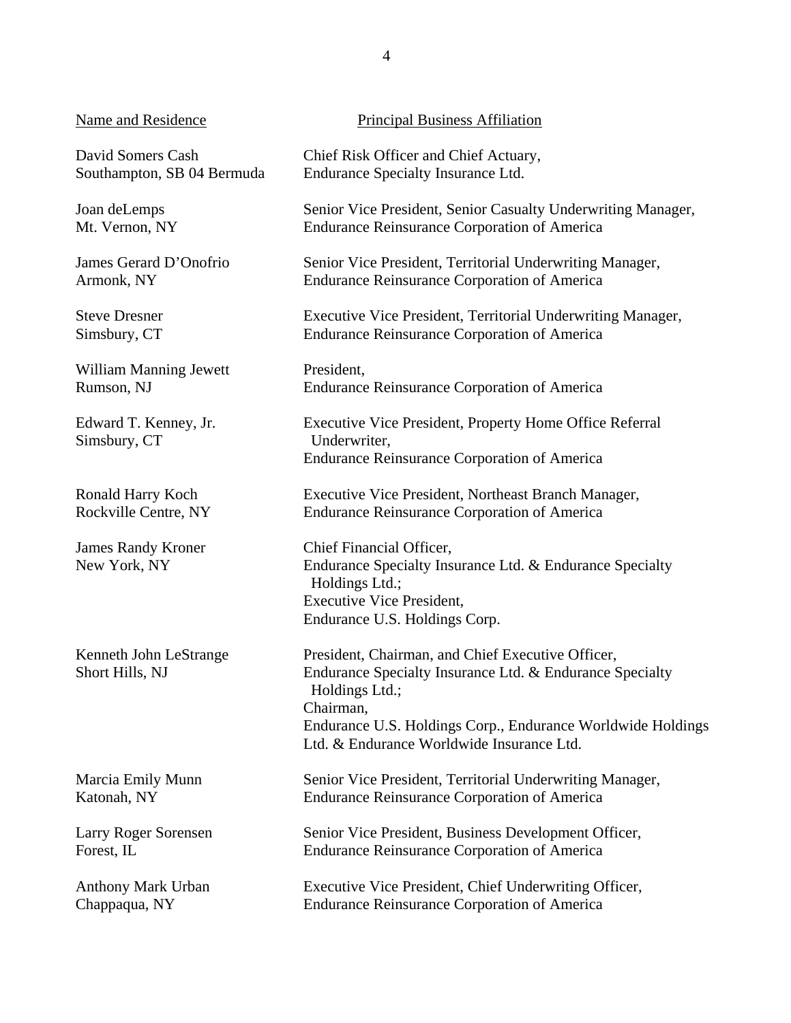#### Name and Residence

David Somers Cash Southampton, SB 04 Bermuda

Joan deLemps Mt. Vernon, NY

James Gerard D'Onofrio Armonk, NY

Steve Dresner Simsbury, CT

William Manning Jewett Rumson, NJ

Edward T. Kenney, Jr. Simsbury, CT

Ronald Harry Koch Rockville Centre, NY

James Randy Kroner New York, NY

Kenneth John LeStrange Short Hills, NJ

Marcia Emily Munn Katonah, NY

Larry Roger Sorensen Forest, IL

Anthony Mark Urban Chappaqua, NY

## Principal Business Affiliation

Chief Risk Officer and Chief Actuary, Endurance Specialty Insurance Ltd.

Senior Vice President, Senior Casualty Underwriting Manager, Endurance Reinsurance Corporation of America

Senior Vice President, Territorial Underwriting Manager, Endurance Reinsurance Corporation of America

Executive Vice President, Territorial Underwriting Manager, Endurance Reinsurance Corporation of America

President, Endurance Reinsurance Corporation of America

Executive Vice President, Property Home Office Referral Underwriter, Endurance Reinsurance Corporation of America

Executive Vice President, Northeast Branch Manager, Endurance Reinsurance Corporation of America

Chief Financial Officer, Endurance Specialty Insurance Ltd. & Endurance Specialty Holdings Ltd.; Executive Vice President, Endurance U.S. Holdings Corp.

President, Chairman, and Chief Executive Officer, Endurance Specialty Insurance Ltd. & Endurance Specialty Holdings Ltd.; Chairman, Endurance U.S. Holdings Corp., Endurance Worldwide Holdings Ltd. & Endurance Worldwide Insurance Ltd.

Senior Vice President, Territorial Underwriting Manager, Endurance Reinsurance Corporation of America

Senior Vice President, Business Development Officer, Endurance Reinsurance Corporation of America

Executive Vice President, Chief Underwriting Officer, Endurance Reinsurance Corporation of America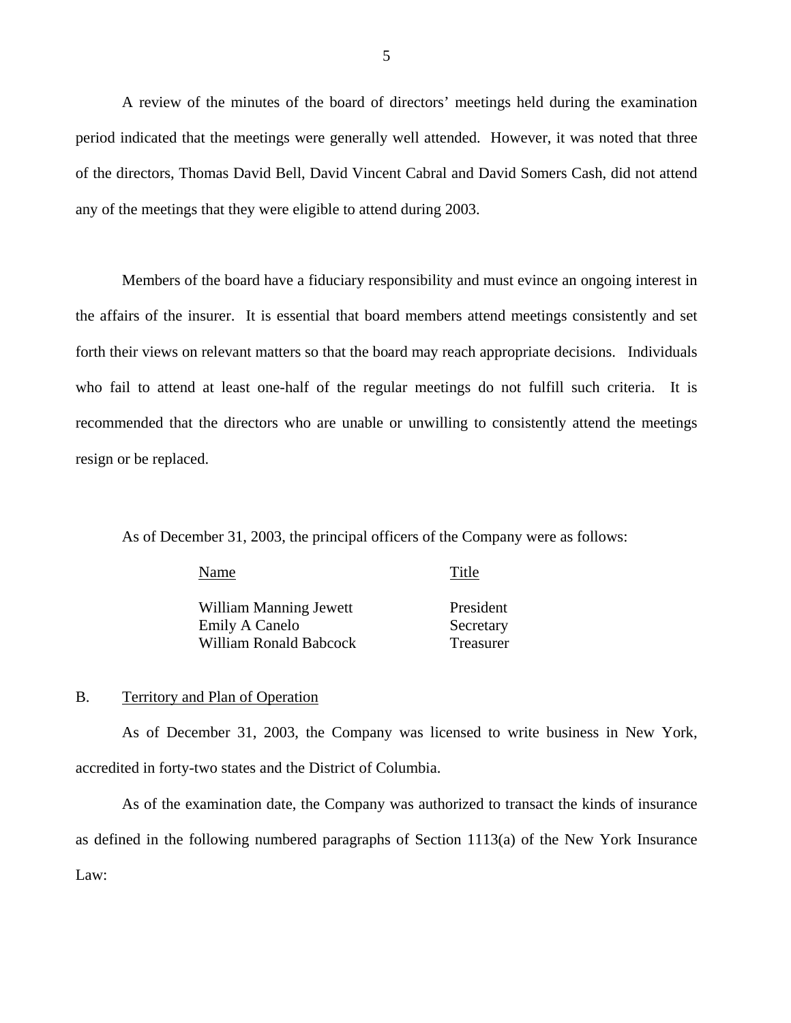<span id="page-6-0"></span>A review of the minutes of the board of directors' meetings held during the examination period indicated that the meetings were generally well attended. However, it was noted that three of the directors, Thomas David Bell, David Vincent Cabral and David Somers Cash, did not attend any of the meetings that they were eligible to attend during 2003.

Members of the board have a fiduciary responsibility and must evince an ongoing interest in the affairs of the insurer. It is essential that board members attend meetings consistently and set forth their views on relevant matters so that the board may reach appropriate decisions. Individuals who fail to attend at least one-half of the regular meetings do not fulfill such criteria. It is recommended that the directors who are unable or unwilling to consistently attend the meetings resign or be replaced.

As of December 31, 2003, the principal officers of the Company were as follows:

| Name                          | Title     |
|-------------------------------|-----------|
| <b>William Manning Jewett</b> | President |
| Emily A Canelo                | Secretary |
| William Ronald Babcock        | Treasurer |

## B. Territory and Plan of Operation

As of December 31, 2003, the Company was licensed to write business in New York, accredited in forty-two states and the District of Columbia.

As of the examination date, the Company was authorized to transact the kinds of insurance as defined in the following numbered paragraphs of Section 1113(a) of the New York Insurance Law: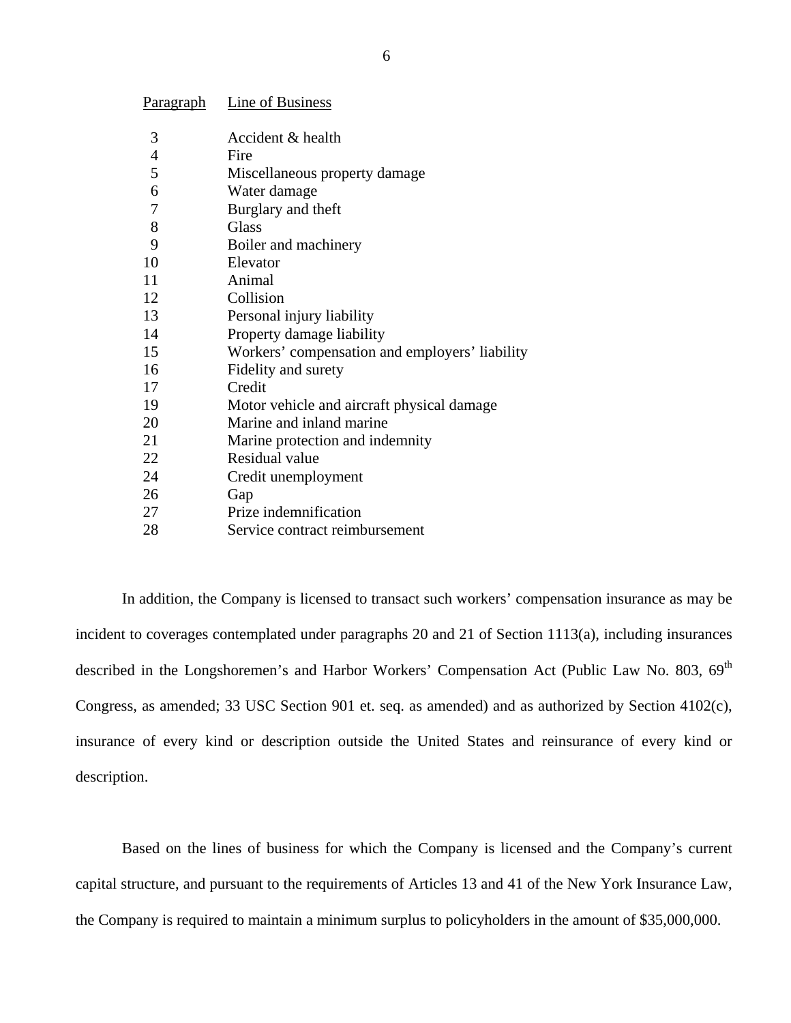| <u>i diagraph</u> | Little of Dublite op                           |
|-------------------|------------------------------------------------|
| 3                 | Accident & health                              |
| 4                 | Fire                                           |
| 5                 | Miscellaneous property damage                  |
| 6                 | Water damage                                   |
| 7                 | Burglary and theft                             |
| 8                 | Glass                                          |
| 9                 | Boiler and machinery                           |
| 10                | Elevator                                       |
| 11                | Animal                                         |
| 12                | Collision                                      |
| 13                | Personal injury liability                      |
| 14                | Property damage liability                      |
| 15                | Workers' compensation and employers' liability |
| 16                | Fidelity and surety                            |
| 17                | Credit                                         |
| 19                | Motor vehicle and aircraft physical damage     |
| 20                | Marine and inland marine                       |
| 21                | Marine protection and indemnity                |
| 22                | Residual value                                 |
| 24                | Credit unemployment                            |
| 26                | Gap                                            |
| 27                | Prize indemnification                          |
| 28                | Service contract reimbursement                 |

Paragraph Line of Business

In addition, the Company is licensed to transact such workers' compensation insurance as may be incident to coverages contemplated under paragraphs 20 and 21 of Section 1113(a), including insurances described in the Longshoremen's and Harbor Workers' Compensation Act (Public Law No. 803, 69<sup>th</sup> Congress, as amended; 33 USC Section 901 et. seq. as amended) and as authorized by Section 4102(c), insurance of every kind or description outside the United States and reinsurance of every kind or description.

Based on the lines of business for which the Company is licensed and the Company's current capital structure, and pursuant to the requirements of Articles 13 and 41 of the New York Insurance Law, the Company is required to maintain a minimum surplus to policyholders in the amount of \$35,000,000.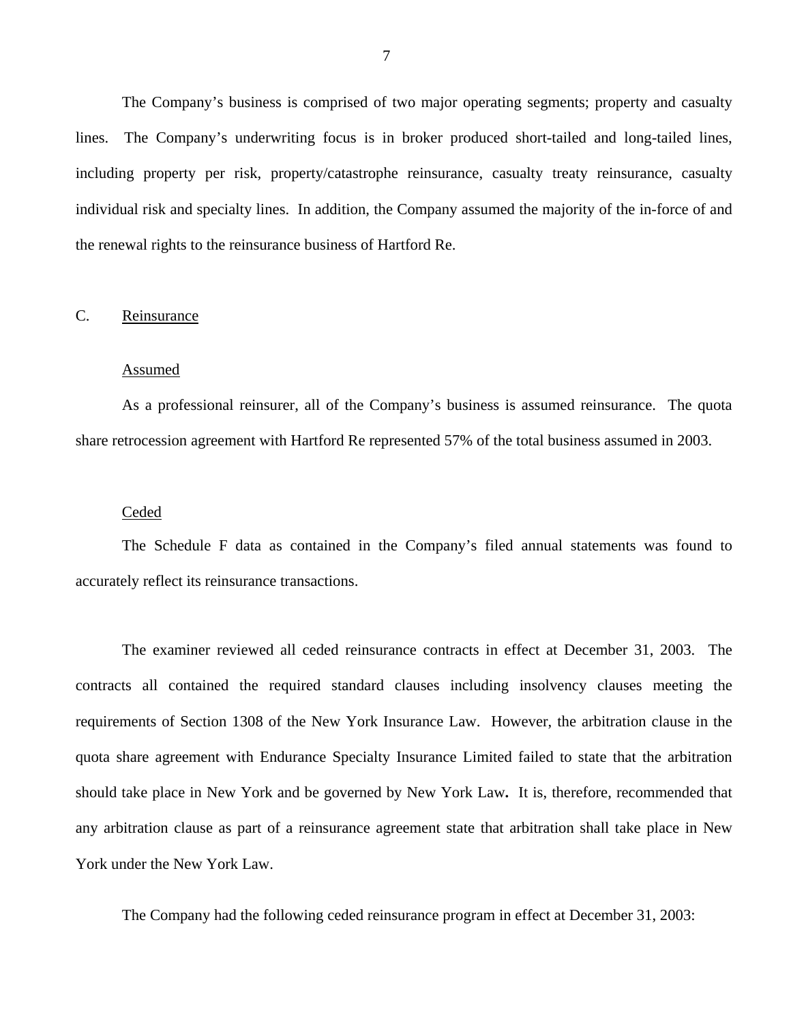<span id="page-8-0"></span>The Company's business is comprised of two major operating segments; property and casualty lines. The Company's underwriting focus is in broker produced short-tailed and long-tailed lines, including property per risk, property/catastrophe reinsurance, casualty treaty reinsurance, casualty individual risk and specialty lines. In addition, the Company assumed the majority of the in-force of and the renewal rights to the reinsurance business of Hartford Re.

#### C. Reinsurance

#### Assumed

As a professional reinsurer, all of the Company's business is assumed reinsurance. The quota share retrocession agreement with Hartford Re represented 57% of the total business assumed in 2003.

#### Ceded

The Schedule F data as contained in the Company's filed annual statements was found to accurately reflect its reinsurance transactions.

The examiner reviewed all ceded reinsurance contracts in effect at December 31, 2003. The contracts all contained the required standard clauses including insolvency clauses meeting the requirements of Section 1308 of the New York Insurance Law. However, the arbitration clause in the quota share agreement with Endurance Specialty Insurance Limited failed to state that the arbitration should take place in New York and be governed by New York Law**.** It is, therefore, recommended that any arbitration clause as part of a reinsurance agreement state that arbitration shall take place in New York under the New York Law.

The Company had the following ceded reinsurance program in effect at December 31, 2003: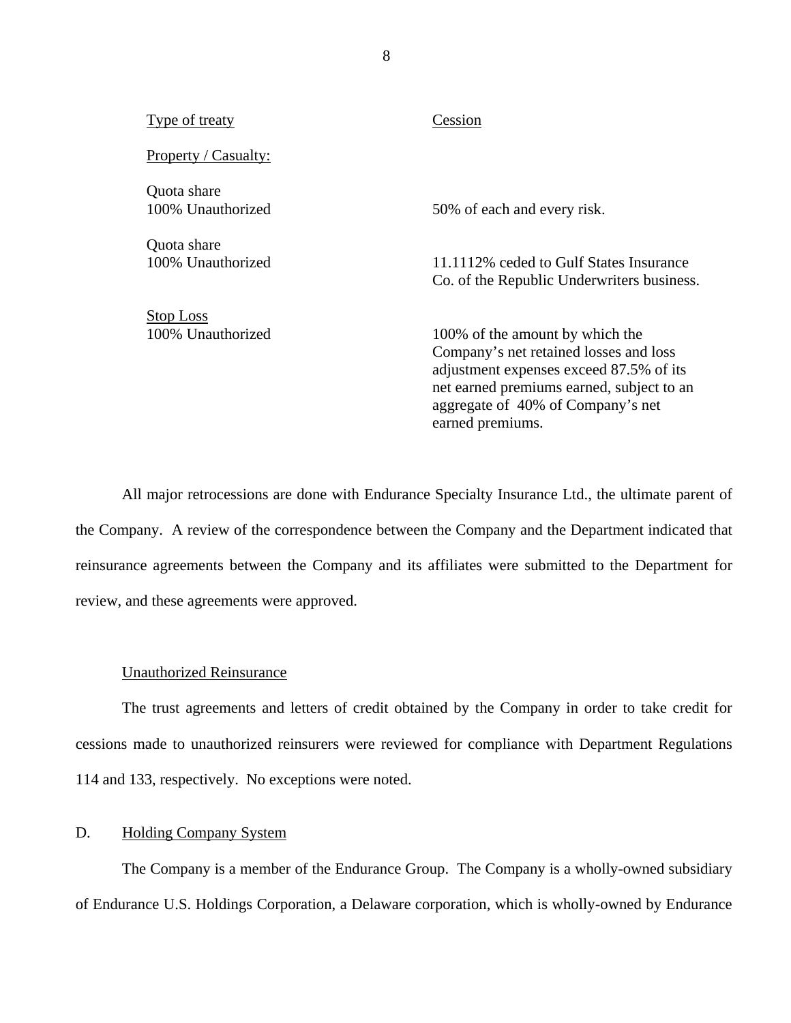| Type of treaty                        | Cession                                                                                                                                                                                                                    |
|---------------------------------------|----------------------------------------------------------------------------------------------------------------------------------------------------------------------------------------------------------------------------|
| Property / Casualty:                  |                                                                                                                                                                                                                            |
| Quota share<br>100% Unauthorized      | 50% of each and every risk.                                                                                                                                                                                                |
| Quota share<br>100% Unauthorized      | 11.1112\% ceded to Gulf States Insurance<br>Co. of the Republic Underwriters business.                                                                                                                                     |
| <u>Stop Loss</u><br>100% Unauthorized | 100% of the amount by which the<br>Company's net retained losses and loss<br>adjustment expenses exceed 87.5% of its<br>net earned premiums earned, subject to an<br>aggregate of 40% of Company's net<br>earned premiums. |

All major retrocessions are done with Endurance Specialty Insurance Ltd., the ultimate parent of the Company. A review of the correspondence between the Company and the Department indicated that reinsurance agreements between the Company and its affiliates were submitted to the Department for review, and these agreements were approved.

#### Unauthorized Reinsurance

The trust agreements and letters of credit obtained by the Company in order to take credit for cessions made to unauthorized reinsurers were reviewed for compliance with Department Regulations 114 and 133, respectively. No exceptions were noted.

## D. Holding Company System

The Company is a member of the Endurance Group. The Company is a wholly-owned subsidiary of Endurance U.S. Holdings Corporation, a Delaware corporation, which is wholly-owned by Endurance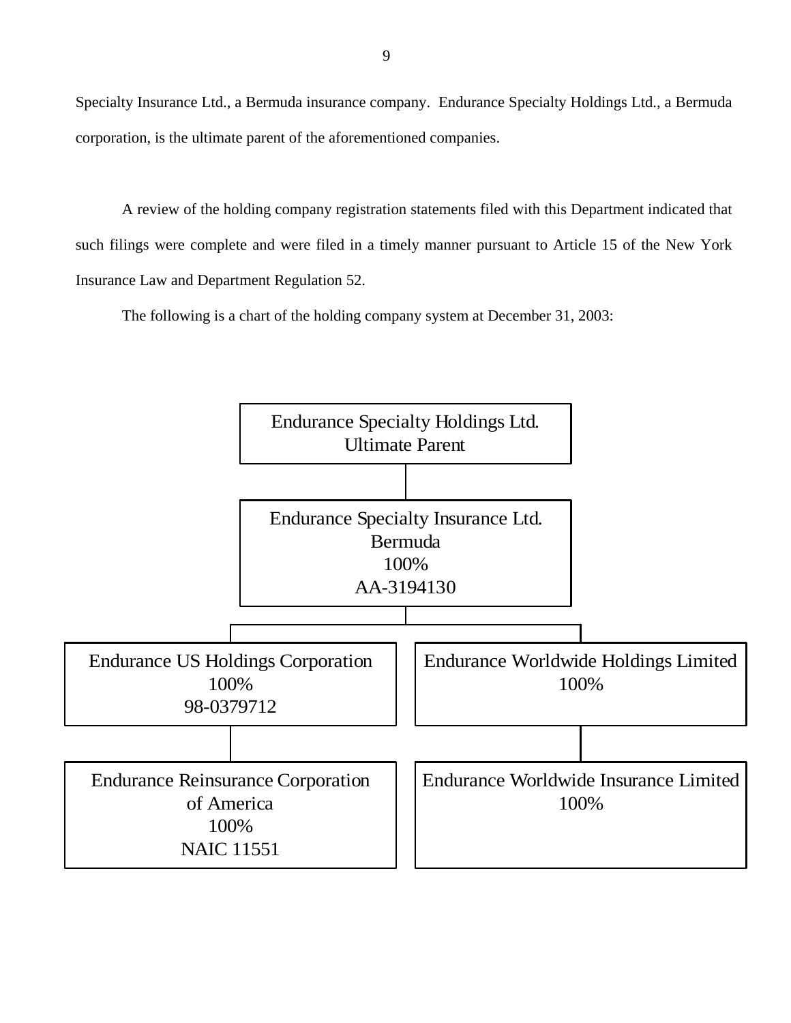Specialty Insurance Ltd., a Bermuda insurance company. Endurance Specialty Holdings Ltd., a Bermuda corporation, is the ultimate parent of the aforementioned companies.

A review of the holding company registration statements filed with this Department indicated that such filings were complete and were filed in a timely manner pursuant to Article 15 of the New York Insurance Law and Department Regulation 52.

The following is a chart of the holding company system at December 31, 2003:

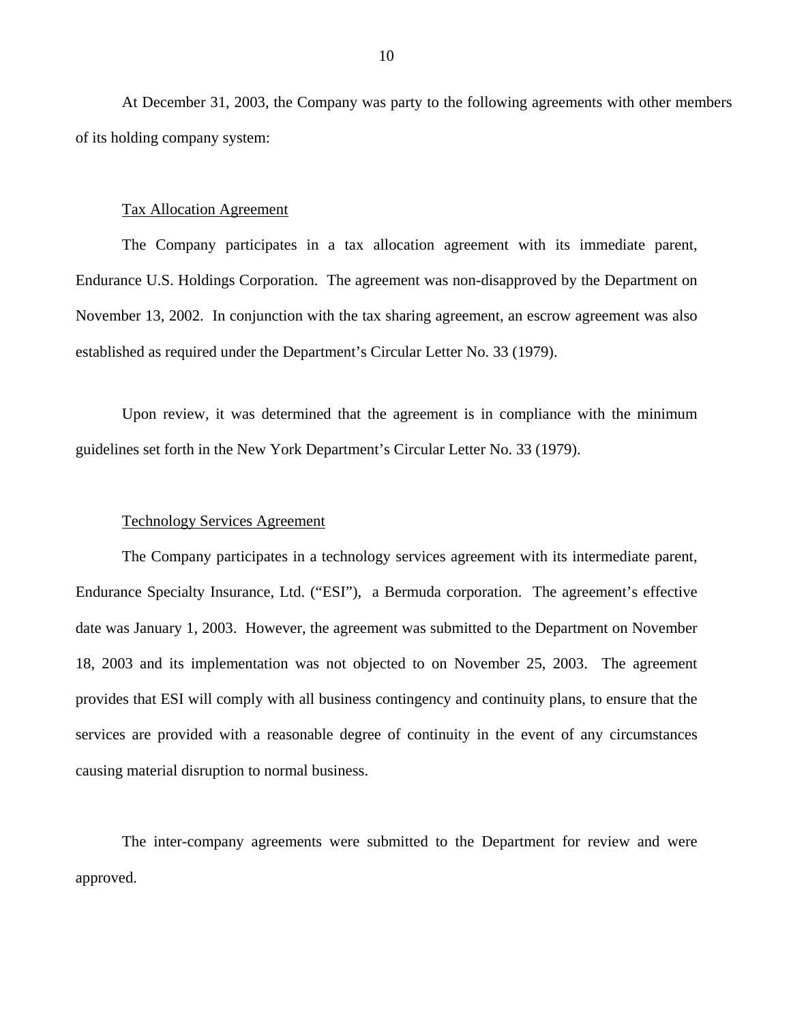At December 31, 2003, the Company was party to the following agreements with other members of its holding company system:

#### Tax Allocation Agreement

The Company participates in a tax allocation agreement with its immediate parent, Endurance U.S. Holdings Corporation. The agreement was non-disapproved by the Department on November 13, 2002. In conjunction with the tax sharing agreement, an escrow agreement was also established as required under the Department's Circular Letter No. 33 (1979).

Upon review, it was determined that the agreement is in compliance with the minimum guidelines set forth in the New York Department's Circular Letter No. 33 (1979).

#### Technology Services Agreement

The Company participates in a technology services agreement with its intermediate parent, Endurance Specialty Insurance, Ltd. ("ESI"), a Bermuda corporation. The agreement's effective date was January 1, 2003. However, the agreement was submitted to the Department on November 18, 2003 and its implementation was not objected to on November 25, 2003. The agreement provides that ESI will comply with all business contingency and continuity plans, to ensure that the services are provided with a reasonable degree of continuity in the event of any circumstances causing material disruption to normal business.

The inter-company agreements were submitted to the Department for review and were approved.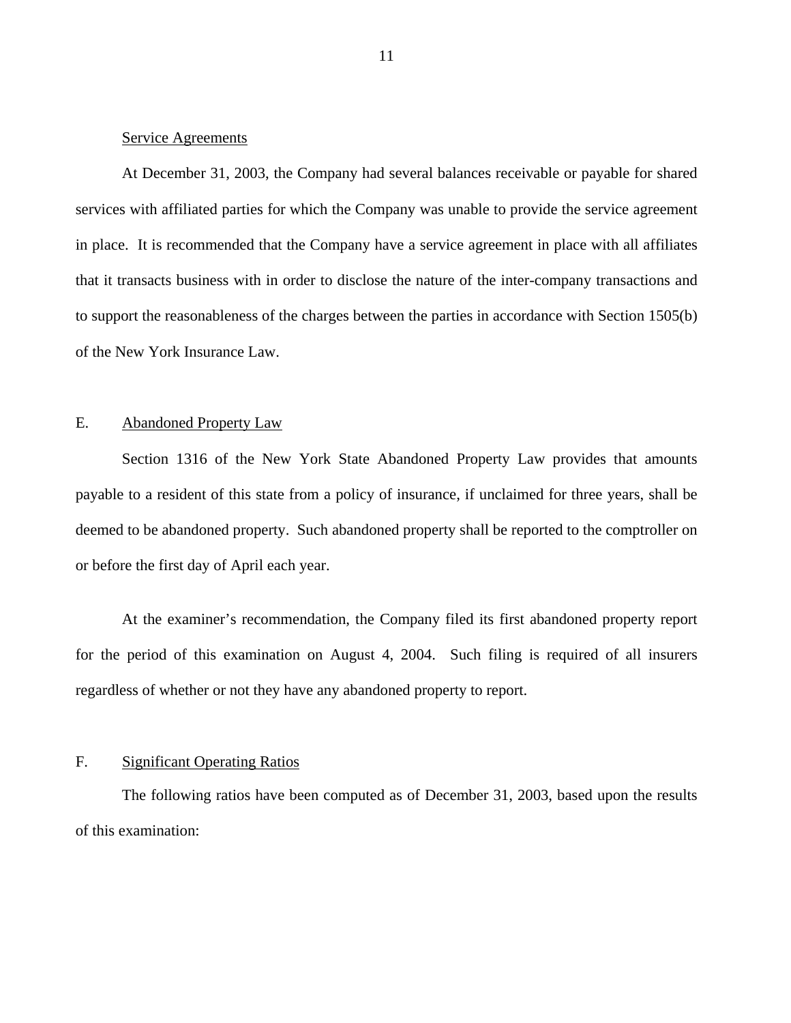### <span id="page-12-0"></span>Service Agreements

At December 31, 2003, the Company had several balances receivable or payable for shared services with affiliated parties for which the Company was unable to provide the service agreement in place. It is recommended that the Company have a service agreement in place with all affiliates that it transacts business with in order to disclose the nature of the inter-company transactions and to support the reasonableness of the charges between the parties in accordance with Section 1505(b) of the New York Insurance Law.

## E. Abandoned Property Law

Section 1316 of the New York State Abandoned Property Law provides that amounts payable to a resident of this state from a policy of insurance, if unclaimed for three years, shall be deemed to be abandoned property. Such abandoned property shall be reported to the comptroller on or before the first day of April each year.

At the examiner's recommendation, the Company filed its first abandoned property report for the period of this examination on August 4, 2004. Such filing is required of all insurers regardless of whether or not they have any abandoned property to report.

## F. Significant Operating Ratios

The following ratios have been computed as of December 31, 2003, based upon the results of this examination: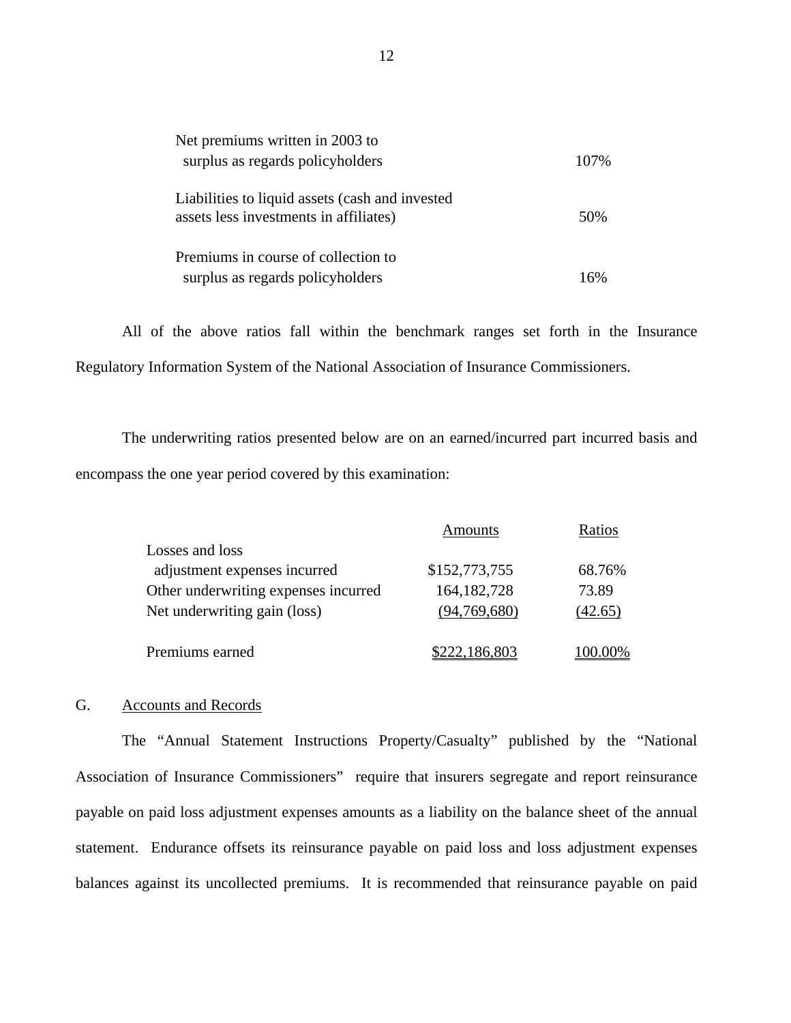| Net premiums written in 2003 to<br>surplus as regards policyholders                       | 107% |
|-------------------------------------------------------------------------------------------|------|
| Liabilities to liquid assets (cash and invested<br>assets less investments in affiliates) | 50%  |
| Premiums in course of collection to<br>surplus as regards policyholders                   | 16%  |

All of the above ratios fall within the benchmark ranges set forth in the Insurance Regulatory Information System of the National Association of Insurance Commissioners.

The underwriting ratios presented below are on an earned/incurred part incurred basis and encompass the one year period covered by this examination:

|                                      | Amounts       | Ratios  |
|--------------------------------------|---------------|---------|
| Losses and loss                      |               |         |
| adjustment expenses incurred         | \$152,773,755 | 68.76%  |
| Other underwriting expenses incurred | 164, 182, 728 | 73.89   |
| Net underwriting gain (loss)         | (94,769,680)  | (42.65) |
| Premiums earned                      | \$222,186,803 | 100.00% |

#### G. Accounts and Records

The "Annual Statement Instructions Property/Casualty" published by the "National Association of Insurance Commissioners" require that insurers segregate and report reinsurance payable on paid loss adjustment expenses amounts as a liability on the balance sheet of the annual statement. Endurance offsets its reinsurance payable on paid loss and loss adjustment expenses balances against its uncollected premiums. It is recommended that reinsurance payable on paid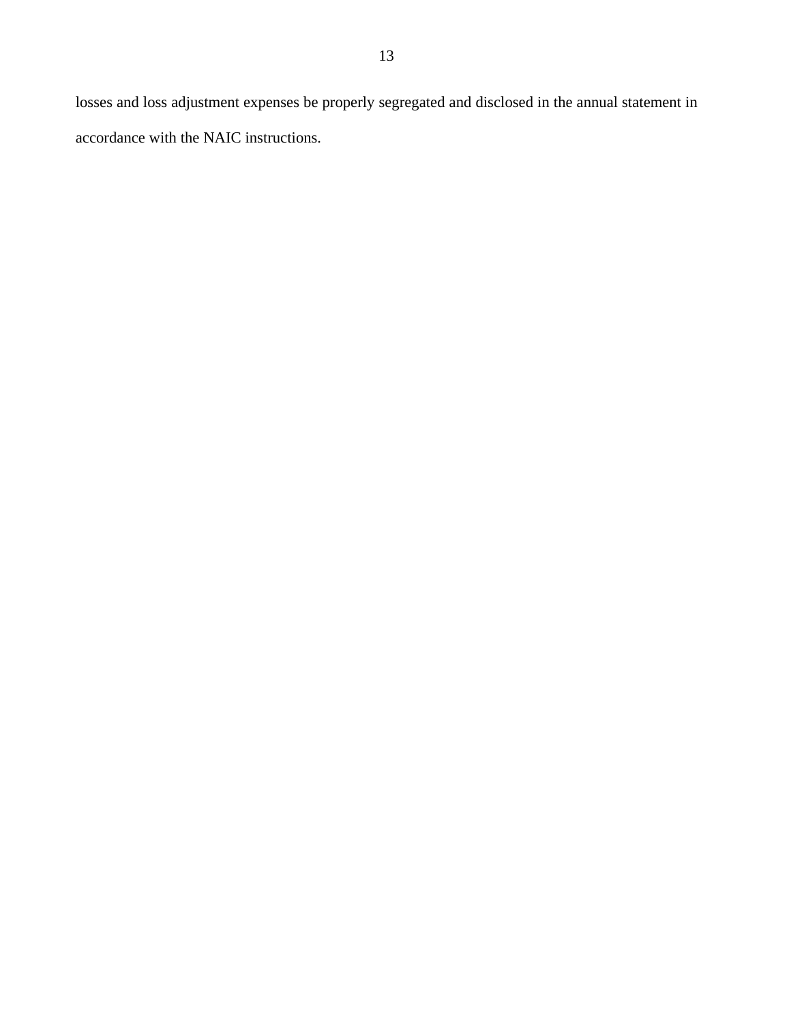losses and loss adjustment expenses be properly segregated and disclosed in the annual statement in accordance with the NAIC instructions.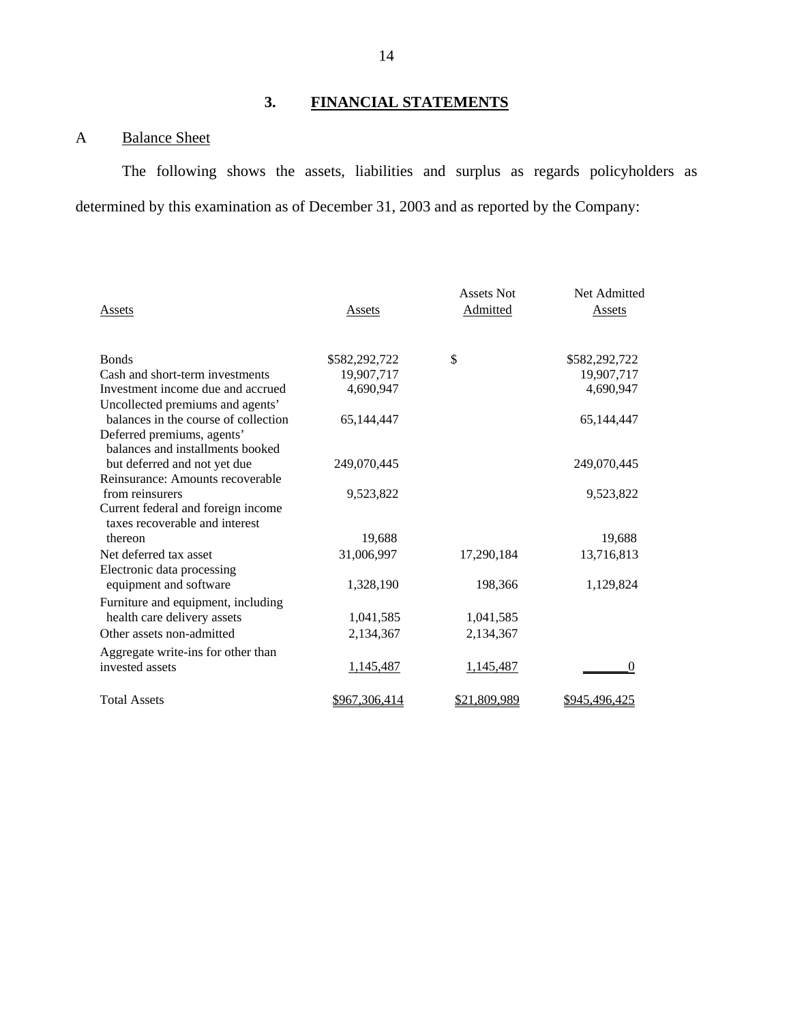# **3. FINANCIAL STATEMENTS**

# A Balance Sheet

The following shows the assets, liabilities and surplus as regards policyholders as determined by this examination as of December 31, 2003 and as reported by the Company:

| Assets                               | Assets        | <b>Assets Not</b><br>Admitted | Net Admitted<br>Assets |
|--------------------------------------|---------------|-------------------------------|------------------------|
| <b>Bonds</b>                         | \$582,292,722 | \$                            | \$582,292,722          |
| Cash and short-term investments      | 19,907,717    |                               | 19,907,717             |
| Investment income due and accrued    | 4,690,947     |                               | 4,690,947              |
| Uncollected premiums and agents'     |               |                               |                        |
| balances in the course of collection | 65,144,447    |                               | 65,144,447             |
| Deferred premiums, agents'           |               |                               |                        |
| balances and installments booked     |               |                               |                        |
| but deferred and not yet due         | 249,070,445   |                               | 249,070,445            |
| Reinsurance: Amounts recoverable     |               |                               |                        |
| from reinsurers                      | 9,523,822     |                               | 9,523,822              |
| Current federal and foreign income   |               |                               |                        |
| taxes recoverable and interest       |               |                               |                        |
| thereon                              | 19,688        |                               | 19,688                 |
| Net deferred tax asset               | 31,006,997    | 17,290,184                    | 13,716,813             |
| Electronic data processing           |               |                               |                        |
| equipment and software               | 1,328,190     | 198,366                       | 1,129,824              |
| Furniture and equipment, including   |               |                               |                        |
| health care delivery assets          | 1,041,585     | 1,041,585                     |                        |
| Other assets non-admitted            | 2,134,367     | 2,134,367                     |                        |
| Aggregate write-ins for other than   |               |                               |                        |
| invested assets                      | 1,145,487     | 1,145,487                     | $\Omega$               |
|                                      |               |                               |                        |
| <b>Total Assets</b>                  | \$967,306,414 | \$21.809.989                  | \$945.496.425          |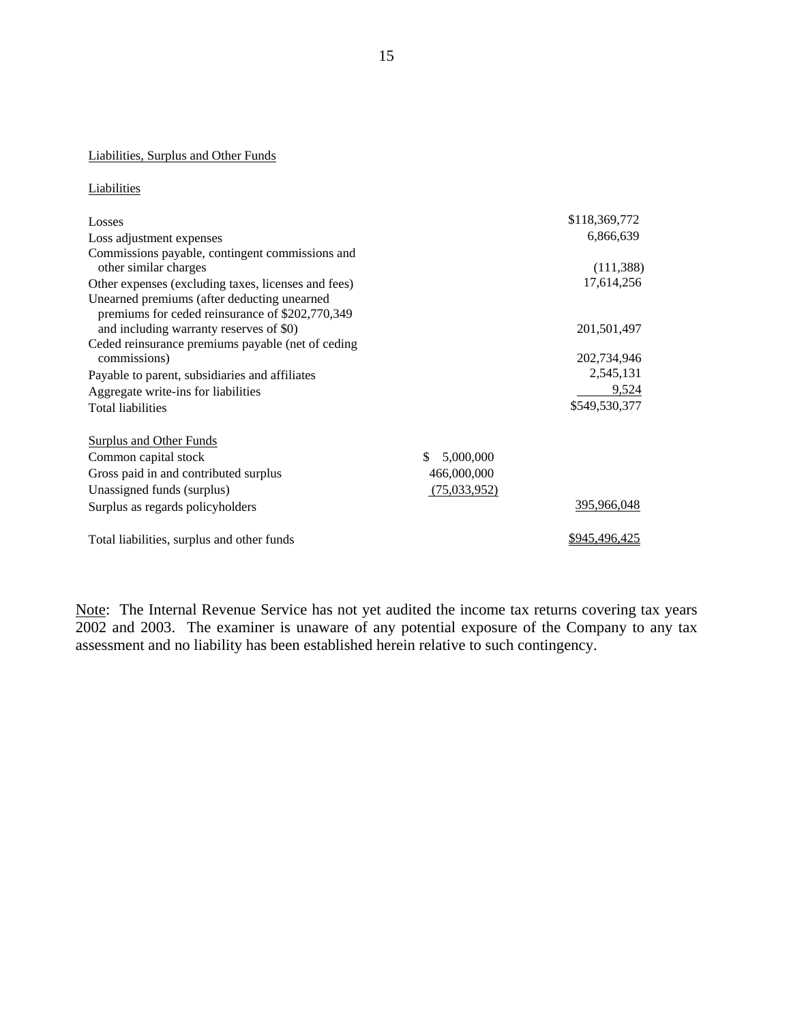#### Liabilities, Surplus and Other Funds

| Liabilities                                                                                    |                  |                    |
|------------------------------------------------------------------------------------------------|------------------|--------------------|
| Losses                                                                                         |                  | \$118,369,772      |
| Loss adjustment expenses                                                                       |                  | 6,866,639          |
| Commissions payable, contingent commissions and                                                |                  |                    |
| other similar charges                                                                          |                  | (111,388)          |
| Other expenses (excluding taxes, licenses and fees)                                            |                  | 17,614,256         |
| Unearned premiums (after deducting unearned<br>premiums for ceded reinsurance of \$202,770,349 |                  |                    |
| and including warranty reserves of \$0)                                                        |                  | 201,501,497        |
| Ceded reinsurance premiums payable (net of ceding                                              |                  |                    |
| commissions)                                                                                   |                  | 202,734,946        |
| Payable to parent, subsidiaries and affiliates                                                 |                  | 2,545,131          |
| Aggregate write-ins for liabilities                                                            |                  | 9,524              |
| <b>Total liabilities</b>                                                                       |                  | \$549,530,377      |
| <b>Surplus and Other Funds</b>                                                                 |                  |                    |
| Common capital stock                                                                           | \$.<br>5,000,000 |                    |
| Gross paid in and contributed surplus                                                          | 466,000,000      |                    |
| Unassigned funds (surplus)                                                                     | (75,033,952)     |                    |
| Surplus as regards policyholders                                                               |                  | <u>395,966,048</u> |
| Total liabilities, surplus and other funds                                                     |                  | \$945,496,425      |

Note: The Internal Revenue Service has not yet audited the income tax returns covering tax years 2002 and 2003. The examiner is unaware of any potential exposure of the Company to any tax assessment and no liability has been established herein relative to such contingency.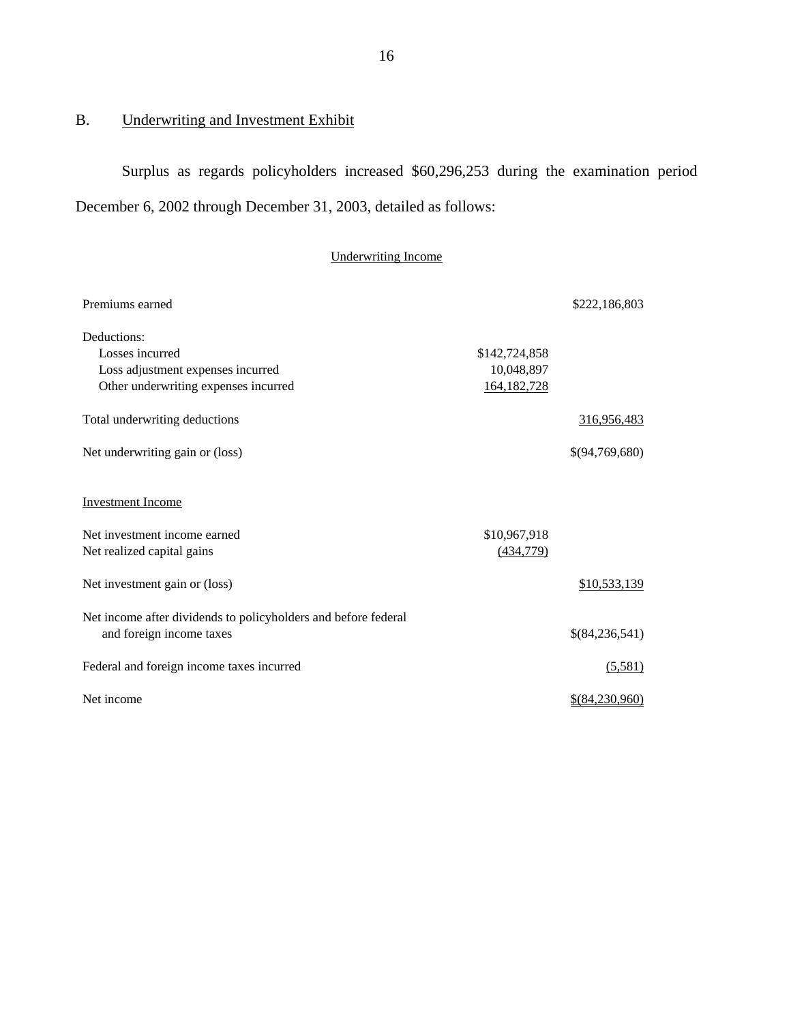# B. Underwriting and Investment Exhibit

Surplus as regards policyholders increased \$60,296,253 during the examination period December 6, 2002 through December 31, 2003, detailed as follows:

# Underwriting Income

| Premiums earned                                                |               | \$222,186,803  |
|----------------------------------------------------------------|---------------|----------------|
| Deductions:                                                    |               |                |
| Losses incurred                                                | \$142,724,858 |                |
| Loss adjustment expenses incurred                              | 10,048,897    |                |
| Other underwriting expenses incurred                           | 164,182,728   |                |
| Total underwriting deductions                                  |               | 316,956,483    |
| Net underwriting gain or (loss)                                |               | \$(94,769,680) |
| <b>Investment Income</b>                                       |               |                |
| Net investment income earned                                   | \$10,967,918  |                |
| Net realized capital gains                                     | (434,779)     |                |
|                                                                |               |                |
| Net investment gain or (loss)                                  |               | \$10,533,139   |
| Net income after dividends to policyholders and before federal |               |                |
| and foreign income taxes                                       |               | \$(84,236,541) |
| Federal and foreign income taxes incurred                      |               | (5,581)        |
| Net income                                                     |               | \$(84,230,960) |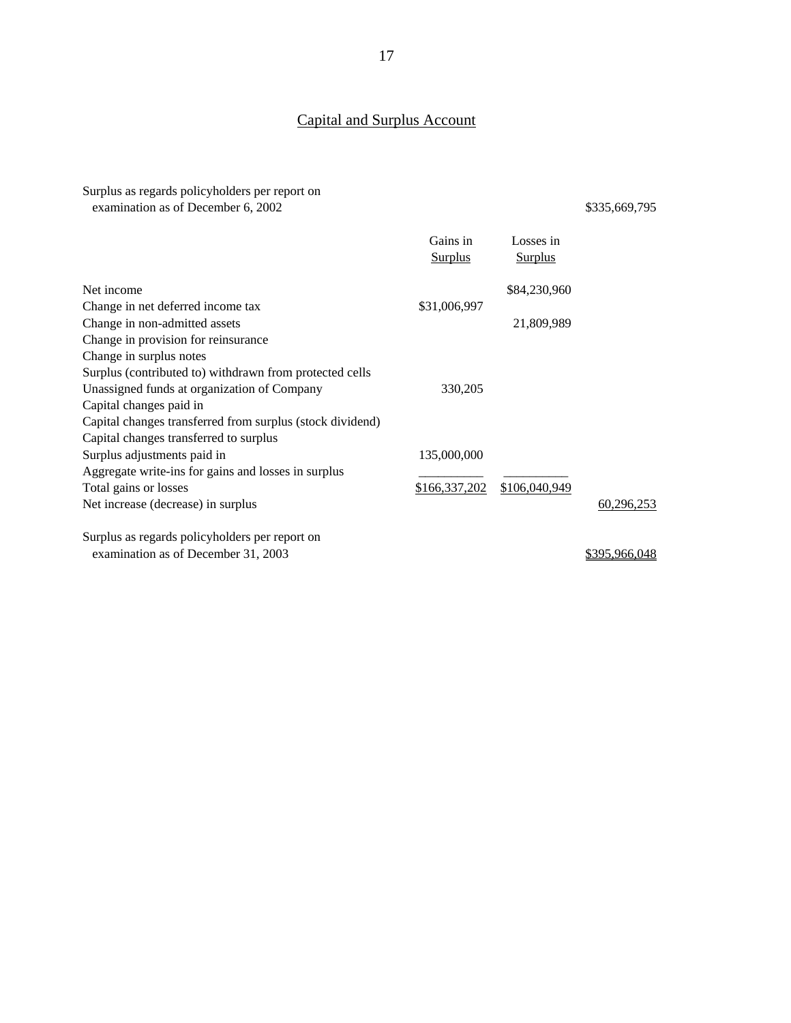# Capital and Surplus Account

Surplus as regards policyholders per report on examination as of December 6, 2002 \$335,669,795

|                                                           | Gains in       | Losses in      |            |
|-----------------------------------------------------------|----------------|----------------|------------|
|                                                           | <b>Surplus</b> | <b>Surplus</b> |            |
|                                                           |                |                |            |
| Net income                                                |                | \$84,230,960   |            |
| Change in net deferred income tax                         | \$31,006,997   |                |            |
| Change in non-admitted assets                             |                | 21,809,989     |            |
| Change in provision for reinsurance                       |                |                |            |
| Change in surplus notes                                   |                |                |            |
| Surplus (contributed to) withdrawn from protected cells   |                |                |            |
| Unassigned funds at organization of Company               | 330,205        |                |            |
| Capital changes paid in                                   |                |                |            |
| Capital changes transferred from surplus (stock dividend) |                |                |            |
| Capital changes transferred to surplus                    |                |                |            |
| Surplus adjustments paid in                               | 135,000,000    |                |            |
| Aggregate write-ins for gains and losses in surplus       |                |                |            |
| Total gains or losses                                     | \$166,337,202  | \$106,040,949  |            |
| Net increase (decrease) in surplus                        |                |                | 60,296,253 |
|                                                           |                |                |            |
| Surplus as regards policyholders per report on            |                |                |            |

examination as of December 31, 2003 \$395,966,048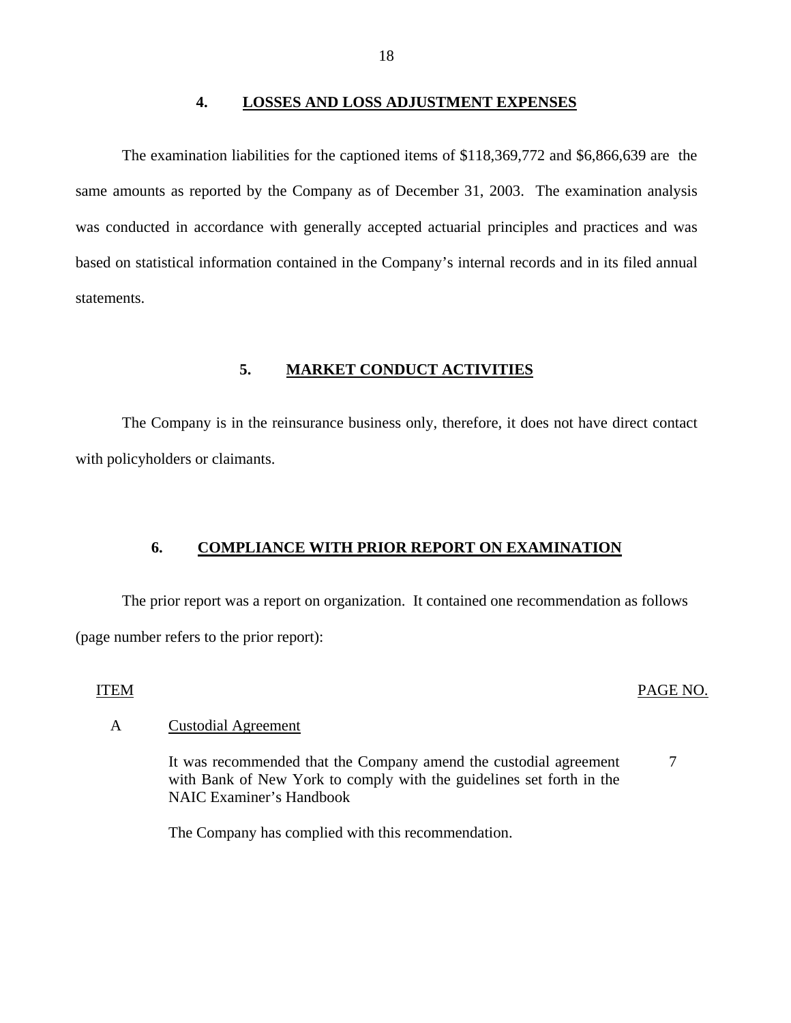#### **4. LOSSES AND LOSS ADJUSTMENT EXPENSES**

<span id="page-19-0"></span>The examination liabilities for the captioned items of \$118,369,772 and \$6,866,639 are the same amounts as reported by the Company as of December 31, 2003. The examination analysis was conducted in accordance with generally accepted actuarial principles and practices and was based on statistical information contained in the Company's internal records and in its filed annual statements.

## **5. MARKET CONDUCT ACTIVITIES**

The Company is in the reinsurance business only, therefore, it does not have direct contact with policyholders or claimants.

#### **6. COMPLIANCE WITH PRIOR REPORT ON EXAMINATION**

The prior report was a report on organization. It contained one recommendation as follows (page number refers to the prior report):

#### ITEM PAGE NO.

7

#### A Custodial Agreement

It was recommended that the Company amend the custodial agreement with Bank of New York to comply with the guidelines set forth in the NAIC Examiner's Handbook

The Company has complied with this recommendation.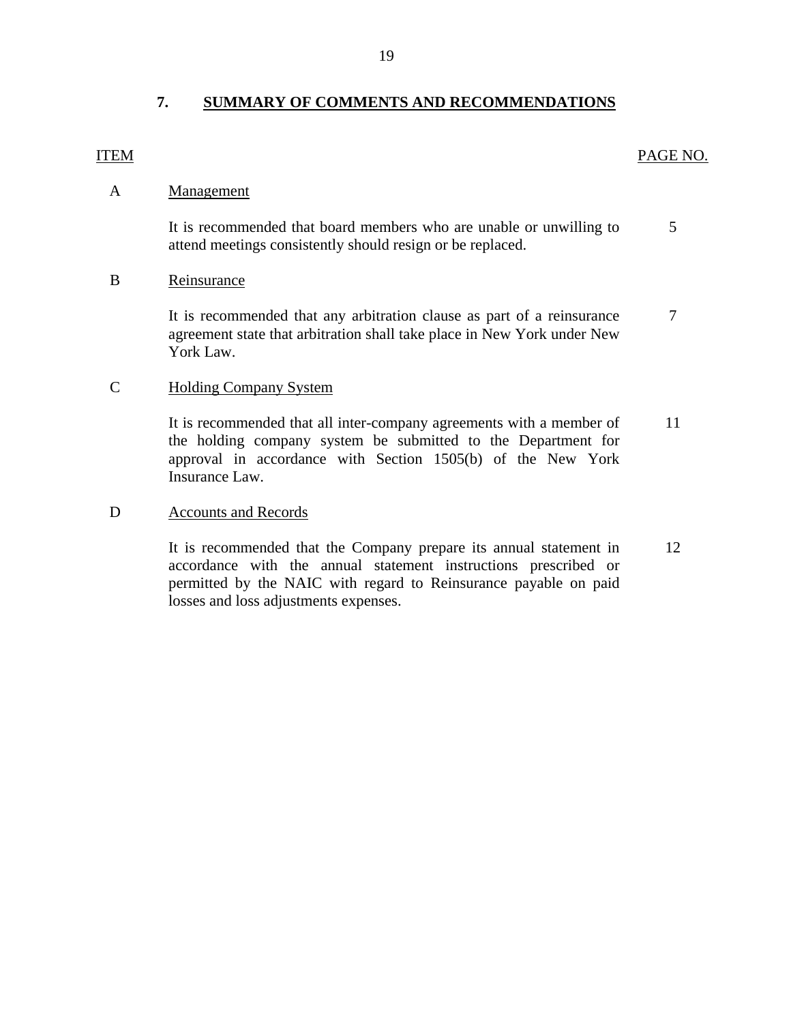# **7. SUMMARY OF COMMENTS AND RECOMMENDATIONS**

## <span id="page-20-0"></span>ITEM PAGE NO.

## A Management

It is recommended that board members who are unable or unwilling to 5 attend meetings consistently should resign or be replaced.

## B Reinsurance

It is recommended that any arbitration clause as part of a reinsurance  $\frac{7}{10}$ agreement state that arbitration shall take place in New York under New York Law.

## C Holding Company System

It is recommended that all inter-company agreements with a member of 11 the holding company system be submitted to the Department for approval in accordance with Section 1505(b) of the New York Insurance Law.

## D Accounts and Records

It is recommended that the Company prepare its annual statement in 12 accordance with the annual statement instructions prescribed or permitted by the NAIC with regard to Reinsurance payable on paid losses and loss adjustments expenses.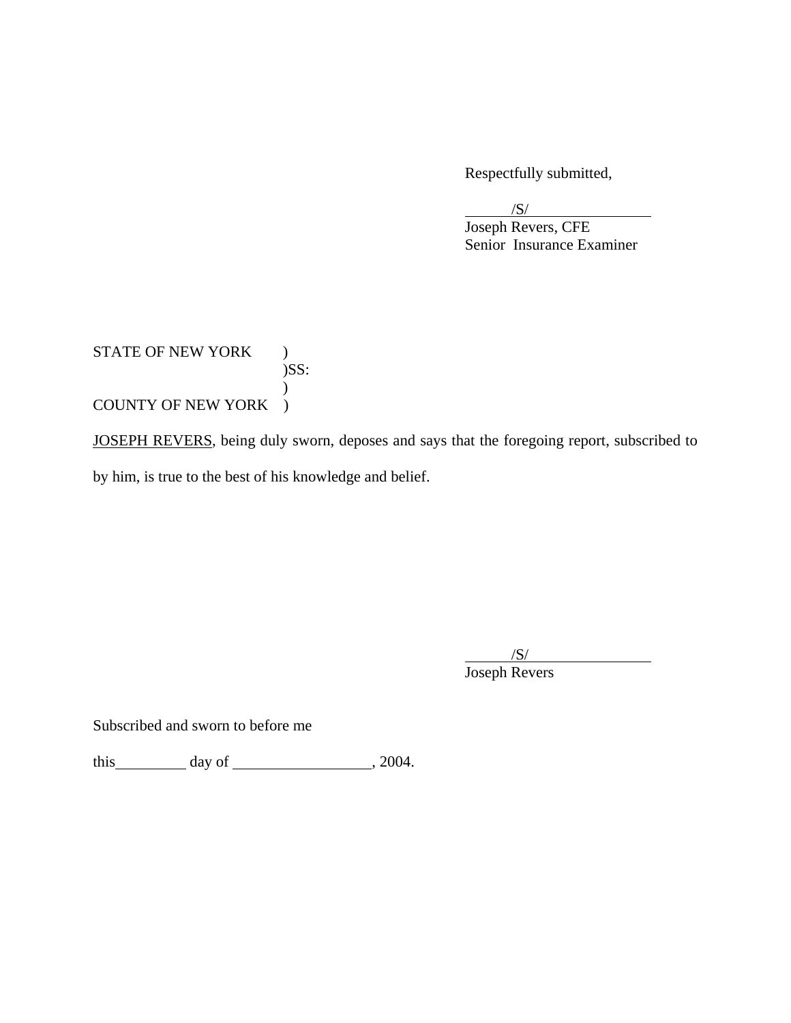Respectfully submitted,

 $\overline{\phantom{a}}$ /S/

 Joseph Revers, CFE Senior Insurance Examiner

STATE OF NEW YORK ) )SS:  $\mathcal{L}$ COUNTY OF NEW YORK )

JOSEPH REVERS, being duly sworn, deposes and says that the foregoing report, subscribed to

by him, is true to the best of his knowledge and belief.

 $\overline{\phantom{a}}$ /S/ Joseph Revers

Subscribed and sworn to before me

this day of  $\frac{1}{2004}$ .